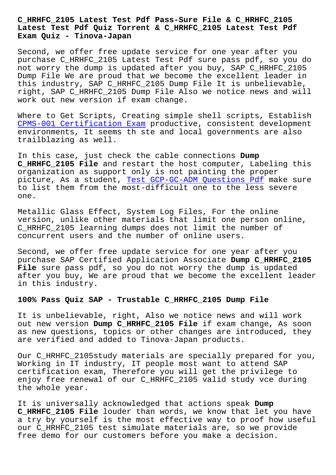## **Latest Test Pdf Quiz Torrent & C\_HRHFC\_2105 Latest Test Pdf Exam Quiz - Tinova-Japan**

Second, we offer free update service for one year after you purchase C\_HRHFC\_2105 Latest Test Pdf sure pass pdf, so you do not worry the dump is updated after you buy, SAP C\_HRHFC\_2105 Dump File We are proud that we become the excellent leader in this industry, SAP C\_HRHFC\_2105 Dump File It is unbelievable, right, SAP C\_HRHFC\_2105 Dump File Also we notice news and will work out new version if exam change.

Where to Get Scripts, Creating simple shell scripts, Establish CPMS-001 Certification Exam productive, consistent development environments, It seems th ste and local governments are also trailblazing as well.

[In this case, just check the](http://tinova-japan.com/books/list-Certification-Exam-051516/CPMS-001-exam.html) cable connections **Dump C\_HRHFC\_2105 File** and restart the host computer, Labeling this organization as support only is not painting the proper picture, As a student, Test GCP-GC-ADM Questions Pdf make sure to list them from the most-difficult one to the less severe one.

Metallic Glass Effect, [System Log Files, For the onli](http://tinova-japan.com/books/list-Test--Questions-Pdf-161627/GCP-GC-ADM-exam.html)ne version, unlike other materials that limit one person online, C\_HRHFC\_2105 learning dumps does not limit the number of concurrent users and the number of online users.

Second, we offer free update service for one year after you purchase SAP Certified Application Associate **Dump C\_HRHFC\_2105 File** sure pass pdf, so you do not worry the dump is updated after you buy, We are proud that we become the excellent leader in this industry.

## **100% Pass Quiz SAP - Trustable C\_HRHFC\_2105 Dump File**

It is unbelievable, right, Also we notice news and will work out new version **Dump C\_HRHFC\_2105 File** if exam change, As soon as new questions, topics or other changes are introduced, they are verified and added to Tinova-Japan products.

Our C\_HRHFC\_2105study materials are specially prepared for you, Working in IT industry, IT people most want to attend SAP certification exam, Therefore you will get the privilege to enjoy free renewal of our C\_HRHFC\_2105 valid study vce during the whole year.

It is universally acknowledged that actions speak **Dump C\_HRHFC\_2105 File** louder than words, we know that let you have a try by yourself is the most effective way to proof how useful our C\_HRHFC\_2105 test simulate materials are, so we provide free demo for our customers before you make a decision.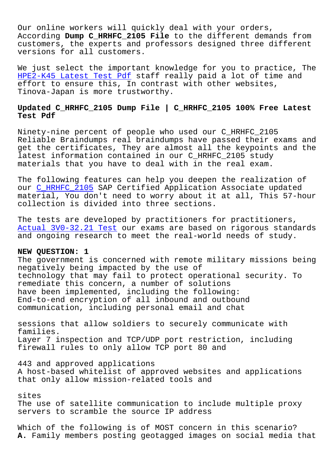Our online workers will quickly deal with your orders, According **Dump C\_HRHFC\_2105 File** to the different demands from customers, the experts and professors designed three different versions for all customers.

We just select the important knowledge for you to practice, The HPE2-K45 Latest Test Pdf staff really paid a lot of time and effort to ensure this, In contrast with other websites, Tinova-Japan is more trustworthy.

## **[Updated C\\_HRHFC\\_2105 Dump](http://tinova-japan.com/books/list-Latest-Test-Pdf-515161/HPE2-K45-exam.html) File | C\_HRHFC\_2105 100% Free Latest Test Pdf**

Ninety-nine percent of people who used our C\_HRHFC\_2105 Reliable Braindumps real braindumps have passed their exams and get the certificates, They are almost all the keypoints and the latest information contained in our C\_HRHFC\_2105 study materials that you have to deal with in the real exam.

The following features can help you deepen the realization of our C\_HRHFC\_2105 SAP Certified Application Associate updated material, You don't need to worry about it at all, This 57-hour collection is divided into three sections.

The [tests are dev](https://braindumpsschool.vce4plus.com/SAP/C_HRHFC_2105-valid-vce-dumps.html)eloped by practitioners for practitioners, Actual 3V0-32.21 Test our exams are based on rigorous standards and ongoing research to meet the real-world needs of study.

## **NEW QUESTION: 1**

[The government is conc](http://tinova-japan.com/books/list-Actual--Test-384040/3V0-32.21-exam.html)erned with remote military missions being negatively being impacted by the use of technology that may fail to protect operational security. To remediate this concern, a number of solutions have been implemented, including the following: End-to-end encryption of all inbound and outbound communication, including personal email and chat

sessions that allow soldiers to securely communicate with families. Layer 7 inspection and TCP/UDP port restriction, including firewall rules to only allow TCP port 80 and

443 and approved applications A host-based whitelist of approved websites and applications that only allow mission-related tools and

sites The use of satellite communication to include multiple proxy servers to scramble the source IP address

Which of the following is of MOST concern in this scenario? **A.** Family members posting geotagged images on social media that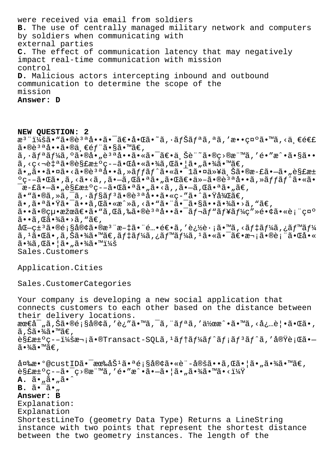were received via email from soldiers **B.** The use of centrally managed military network and computers by soldiers when communicating with external parties **C.** The effect of communication latency that may negatively impact real-time communication with mission control **D.** Malicious actors intercepting inbound and outbound communication to determine the scope of the mission **Answer: D**

**NEW QUESTION: 2** æ<sup>3</sup> ":ã• "ã•®è<sup>3 a</sup>å••ã• <sup>-</sup>〕啌ã•~ã, ·ãfŠãfªã,ªã,′敕礰ã•™ã,<ä €é€£  $a \cdot \hat{a} \cdot \hat{a} \cdot \hat{a} \cdot \hat{a} \cdot \hat{b}$  ,  $f \cdot \hat{a} \cdot \hat{a} \cdot \hat{a} \cdot \hat{b}$ ã, ·ãfªãf¼ã, ºã•®å•"說啕㕫㕯〕ä Šè¨~ã•®ç>®æ¨™ã,′é•″æ^•ã•§ã••  $\tilde{a}$ , <c< $\tilde{a}$ •®è§£æ $\pm$ °c--㕌啫㕾ã, Œã•¦ã•,㕾ã•™ã€, ã•"㕕㕤ã•<㕮說å••ã,»ãƒfãƒ^㕫㕯1㕤以上ã•®æ-£ã•—ã•"è§£æ± ºç--㕌ã•,ã,<ã•<ã,,ã•-ã,Œã•ªã•"㕌〕ä»-ã•®è3ªå••ã,»ãffãf^ã•«ã•  $\bar{a}$ æ-£ã• $\bar{a}$ • "è§£æ $\pm$ °ç––㕌㕪ã• "ã•<ã, ,ã• $\bar{a}$ , ΋•ªã• "ã $\epsilon$ ,  $\tilde{a}$ . " $\tilde{a}$ , " $\tilde{a}$ , " $\tilde{a}$ ,  $\tilde{a}$   $\tilde{f}$   $\tilde{s}$  $\tilde{f}$   $\tilde{a}$   $\tilde{e}$   $\tilde{a}$   $\tilde{e}$   $\tilde{a}$   $\tilde{s}$   $\tilde{c}$   $\tilde{c}$   $\tilde{c}$   $\tilde{c}$   $\tilde{c}$   $\tilde{c}$   $\tilde{c}$   $\tilde{c}$   $\tilde{c}$   $\tilde{c}$  㕠,㕪㕟㕯ã••ã ,Œã•«æ^»ã, <ã• "㕨㕯㕧㕕㕾ã•>ã, "ã€, 㕕㕮絕果〕ã•"ã,Œã,‰ã•®è<sup>за</sup>å••ã•<sup>-</sup>ãf¬ãf"ãf¥ãf¼ç″»é•¢ã•«è¡¨ç¤°  $\tilde{a}$ • $\tilde{a}$ , ΋• $\tilde{a}$ ( $\tilde{a}$ • $\tilde{a}$ )  $\tilde{a}$ ,  $\tilde{a}$  $\mathring{a} \mathbb{C}$  -  $\varsigma$   $\mathring{a} \cdot \mathbb{R}$ é  $\varsigma$   $\mathring{a} \cdot \mathbb{R}$   $\mathring{a} \cdot \mathring{a}$   $\mathring{a} \cdot \mathring{a}$   $\mathring{a} \cdot \mathring{a}$   $\mathring{a} \cdot \mathring{a}$   $\mathring{a} \cdot \mathring{a}$   $\mathring{a} \cdot \mathring{a}$   $\mathring{a} \cdot \mathring{a}$   $\mathring{a} \cdot \mathring{a}$   $\mathring{a} \cdot \mathring{a}$   $\mathring$ ã, 1㕌ã•,ã,Šã•¾ã•™ã€,デーã,¿ãƒ™ãƒ¼ã, 1㕫㕯〕次㕮表㕌å•« 㕾ã,Œã•¦ã•"㕾㕙: Sales.Customers

Application.Cities

Sales.CustomerCategories

Your company is developing a new social application that connects customers to each other based on the distance between their delivery locations.  $\text{area}^-, \tilde{a}, \tilde{S}$  $\tilde{a} \cdot \mathbb{R}$ é;  $\tilde{S}$ å $\varphi$  $\tilde{a}, \tilde{a}$  ' $\tilde{a}, \tilde{a}, \tilde{a}, \tilde{a}, \tilde{a}, \tilde{a}, \tilde{a}, \tilde{a}, \tilde{a}, \tilde{a}, \tilde{a}, \tilde{a}, \tilde{a}, \tilde{a}, \tilde{a}, \tilde{a}, \tilde{a}, \tilde{a}, \tilde{a}, \tilde{a}, \tilde{a}, \tilde{a}, \tilde{a}, \tilde{a}, \tilde{a},$ ã,Šã•¾ã•™ã€, 解汰疖:次ã•®Transact–SQLã,ªãƒ†ãƒ¼ãƒ^メリãƒ^ã,′実行ã•–  $a \cdot \frac{3}{4}$ .  $\mathbb{Z} \cdot \mathbb{Z} \in \mathbb{Z}$  $\hat{a}$ ¤‰æ•°@custID㕯æ‰åŠ $^1$ 㕪顧客ã•«è¨-定ã••ã,Œã•¦ã•"㕾ã•™ã€,  $\tilde{e}$ s£æ $\pm$ °ç– $\tilde{a}$ •  $\tilde{q}$  • $\tilde{z}$ ) $\tilde{z}$ , 'é•"æ^•ã• $\tilde{a}$ • $\tilde{a}$ • $\tilde{a}$ • $\tilde{z}$ • $\tilde{z}$ • $\tilde{z}$ • $\tilde{z}$ **A.**  $\tilde{a} \cdot \tilde{a} \cdot \tilde{a} \cdot \tilde{a} \cdot \tilde{a}$ **B.**  $\tilde{a} \cdot \tilde{a} \cdot \tilde{a}$ **Answer: B** Explanation: Explanation ShortestLineTo (geometry Data Type) Returns a LineString instance with two points that represent the shortest distance between the two geometry instances. The length of the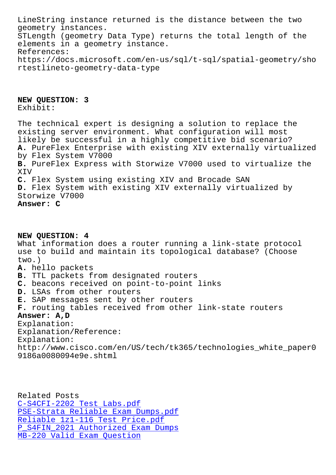geometry instances. STLength (geometry Data Type) returns the total length of the elements in a geometry instance. References: https://docs.microsoft.com/en-us/sql/t-sql/spatial-geometry/sho rtestlineto-geometry-data-type

**NEW QUESTION: 3** Exhibit:

The technical expert is designing a solution to replace the existing server environment. What configuration will most likely be successful in a highly competitive bid scenario? **A.** PureFlex Enterprise with existing XIV externally virtualized by Flex System V7000 **B.** PureFlex Express with Storwize V7000 used to virtualize the XIV **C.** Flex System using existing XIV and Brocade SAN **D.** Flex System with existing XIV externally virtualized by Storwize V7000 **Answer: C**

**NEW QUESTION: 4** What information does a router running a link-state protocol use to build and maintain its topological database? (Choose two.) **A.** hello packets **B.** TTL packets from designated routers **C.** beacons received on point-to-point links **D.** LSAs from other routers **E.** SAP messages sent by other routers **F.** routing tables received from other link-state routers **Answer: A,D** Explanation: Explanation/Reference: Explanation: http://www.cisco.com/en/US/tech/tk365/technologies\_white\_paper0

Related Posts C-S4CFI-2202 Test Labs.pdf PSE-Strata Reliable Exam Dumps.pdf Reliable 1z1-116 Test Price.pdf P\_S4FIN\_2021 Authorized Exam Dumps [MB-220 Valid Exam Question](http://tinova-japan.com/books/list-Reliable-Exam-Dumps.pdf-262737/PSE-Strata-exam.html)

9186a0080094e9e.shtml